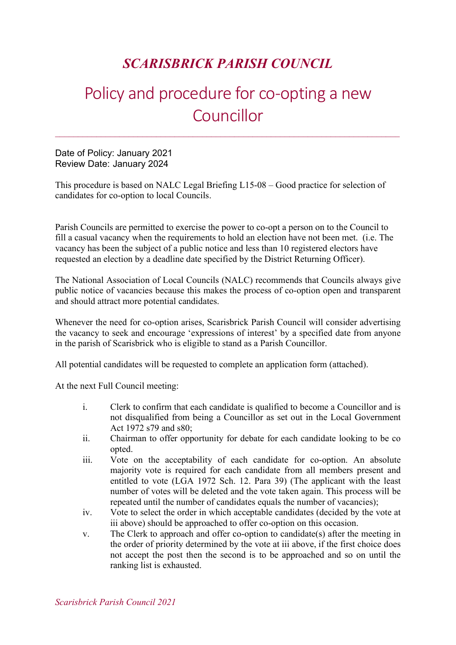## SCARISBRICK PARISH COUNCIL

# Policy and procedure for co-opting a new **Councillor**

Date of Policy: January 2021 Review Date: January 2024

This procedure is based on NALC Legal Briefing L15-08 – Good practice for selection of candidates for co-option to local Councils.

Parish Councils are permitted to exercise the power to co-opt a person on to the Council to fill a casual vacancy when the requirements to hold an election have not been met. (i.e. The vacancy has been the subject of a public notice and less than 10 registered electors have requested an election by a deadline date specified by the District Returning Officer).

The National Association of Local Councils (NALC) recommends that Councils always give public notice of vacancies because this makes the process of co-option open and transparent and should attract more potential candidates.

Whenever the need for co-option arises, Scarisbrick Parish Council will consider advertising the vacancy to seek and encourage 'expressions of interest' by a specified date from anyone in the parish of Scarisbrick who is eligible to stand as a Parish Councillor.

All potential candidates will be requested to complete an application form (attached).

At the next Full Council meeting:

- i. Clerk to confirm that each candidate is qualified to become a Councillor and is not disqualified from being a Councillor as set out in the Local Government Act 1972 s79 and s80;
- ii. Chairman to offer opportunity for debate for each candidate looking to be co opted.
- iii. Vote on the acceptability of each candidate for co-option. An absolute majority vote is required for each candidate from all members present and entitled to vote (LGA 1972 Sch. 12. Para 39) (The applicant with the least number of votes will be deleted and the vote taken again. This process will be repeated until the number of candidates equals the number of vacancies);
- iv. Vote to select the order in which acceptable candidates (decided by the vote at iii above) should be approached to offer co-option on this occasion.
- v. The Clerk to approach and offer co-option to candidate(s) after the meeting in the order of priority determined by the vote at iii above, if the first choice does not accept the post then the second is to be approached and so on until the ranking list is exhausted.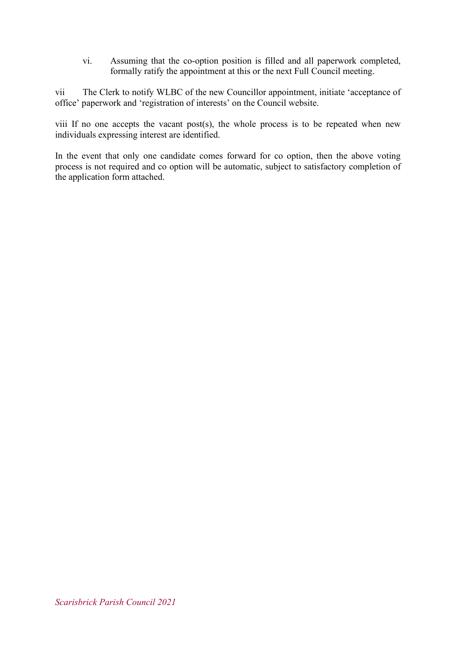vi. Assuming that the co-option position is filled and all paperwork completed, formally ratify the appointment at this or the next Full Council meeting.

vii The Clerk to notify WLBC of the new Councillor appointment, initiate 'acceptance of office' paperwork and 'registration of interests' on the Council website.

viii If no one accepts the vacant post(s), the whole process is to be repeated when new individuals expressing interest are identified.

In the event that only one candidate comes forward for co option, then the above voting process is not required and co option will be automatic, subject to satisfactory completion of the application form attached.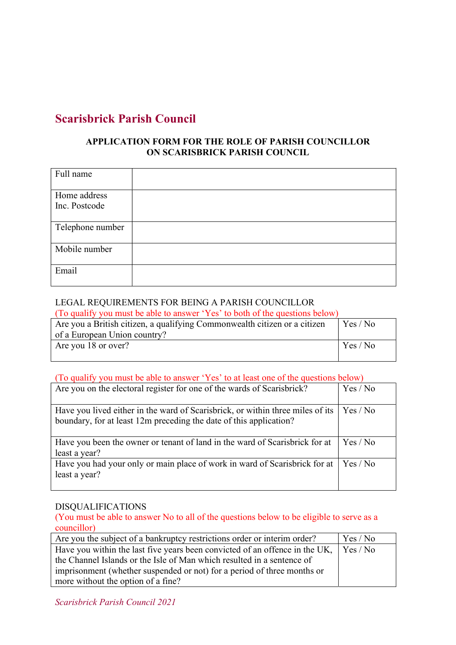### Scarisbrick Parish Council

#### APPLICATION FORM FOR THE ROLE OF PARISH COUNCILLOR ON SCARISBRICK PARISH COUNCIL

| Full name                     |  |
|-------------------------------|--|
| Home address<br>Inc. Postcode |  |
| Telephone number              |  |
| Mobile number                 |  |
| Email                         |  |

#### LEGAL REQUIREMENTS FOR BEING A PARISH COUNCILLOR

(To qualify you must be able to answer 'Yes' to both of the questions below)

| Are you a British citizen, a qualifying Commonwealth citizen or a citizen | Yes / No |
|---------------------------------------------------------------------------|----------|
| of a European Union country?                                              |          |
| Are you 18 or over?                                                       | Yes / No |
|                                                                           |          |

#### (To qualify you must be able to answer 'Yes' to at least one of the questions below)

| Are you on the electoral register for one of the wards of Scarisbrick?                                                                               | Yes / No |
|------------------------------------------------------------------------------------------------------------------------------------------------------|----------|
| Have you lived either in the ward of Scarisbrick, or within three miles of its<br>boundary, for at least 12m preceding the date of this application? | Yes / No |
| Have you been the owner or tenant of land in the ward of Scarisbrick for at<br>least a year?                                                         | Yes / No |
| Have you had your only or main place of work in ward of Scarisbrick for at<br>least a year?                                                          | Yes / No |

#### DISQUALIFICATIONS

(You must be able to answer No to all of the questions below to be eligible to serve as a councillor)

| Are you the subject of a bankruptcy restrictions order or interim order?                     | $\vert$ Yes / No |
|----------------------------------------------------------------------------------------------|------------------|
| Have you within the last five years been convicted of an offence in the UK, $\vert$ Yes / No |                  |
| the Channel Islands or the Isle of Man which resulted in a sentence of                       |                  |
| imprisonment (whether suspended or not) for a period of three months or                      |                  |
| more without the option of a fine?                                                           |                  |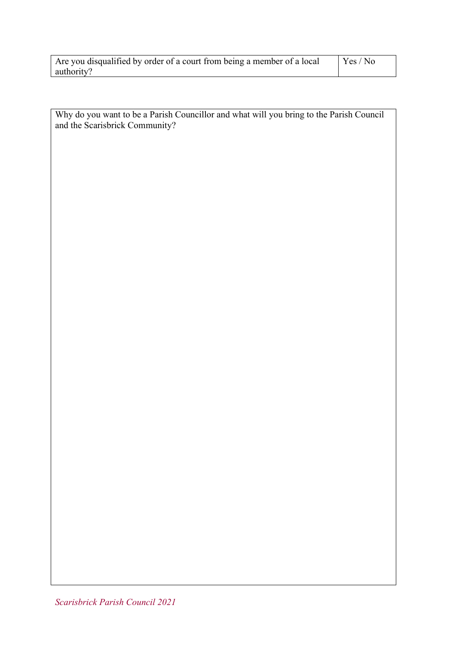| Are you disqualified by order of a court from being a member of a local | Yes/No |  |
|-------------------------------------------------------------------------|--------|--|
| authority?                                                              |        |  |

Why do you want to be a Parish Councillor and what will you bring to the Parish Council and the Scarisbrick Community?